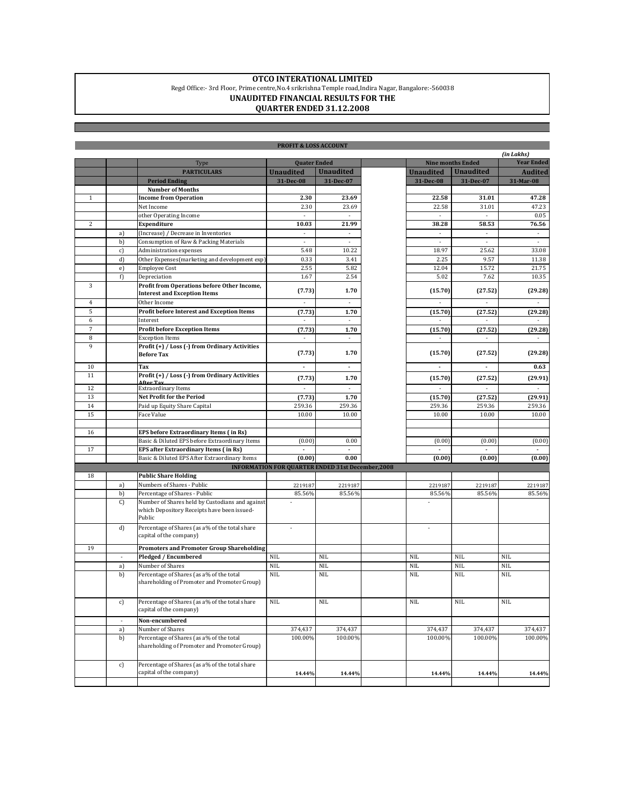## **OTCO INTERATIONAL LIMITED**

## Regd Office:- 3rd Floor, Prime centre,No.4 srikrishna Temple road,Indira Nagar, Bangalore:-560038 **UNAUDITED FINANCIAL RESULTS FOR THE**

## **QUARTER ENDED 31.12.2008**

| <b>PROFIT &amp; LOSS ACCOUNT</b> |               |                                                                                          |                                                          |                        |  |                             |                          |                        |  |
|----------------------------------|---------------|------------------------------------------------------------------------------------------|----------------------------------------------------------|------------------------|--|-----------------------------|--------------------------|------------------------|--|
|                                  |               |                                                                                          | <b>Ouater Ended</b>                                      |                        |  |                             |                          | (in Lakhs)             |  |
|                                  |               | Type                                                                                     |                                                          |                        |  |                             | <b>Nine months Ended</b> | <b>Year Ended</b>      |  |
|                                  |               | <b>PARTICULARS</b>                                                                       | <b>Unaudited</b>                                         | <b>Unaudited</b>       |  | <b>Unaudited</b>            | <b>Unaudited</b>         | <b>Audited</b>         |  |
|                                  |               | <b>Period Ending</b>                                                                     | 31-Dec-08                                                | 31-Dec-07              |  | 31-Dec-08                   | 31-Dec-07                | 31-Mar-08              |  |
|                                  |               | <b>Number of Months</b>                                                                  |                                                          |                        |  |                             |                          |                        |  |
| $\mathbf{1}$                     |               | <b>Income from Operation</b>                                                             | 2.30<br>2.30                                             | 23.69                  |  | 22.58                       | 31.01<br>31.01           | 47.28                  |  |
|                                  |               | Net Income                                                                               |                                                          | 23.69                  |  | 22.58                       |                          | 47.23                  |  |
|                                  |               | other Operating Income                                                                   |                                                          |                        |  |                             |                          | 0.05                   |  |
| $\overline{c}$                   |               | <b>Expenditure</b>                                                                       | 10.03<br>$\omega$                                        | 21.99<br>$\mathcal{L}$ |  | 38.28<br>$\bar{z}$          | 58.53<br>$\mathcal{L}$   | 76.56<br>$\mathcal{L}$ |  |
|                                  | a)            | (Increase) / Decrease in Inventories                                                     | ×                                                        | ×.                     |  | ×                           | ×.                       | ÷                      |  |
|                                  | b)            | Consumption of Raw & Packing Materials                                                   |                                                          |                        |  |                             |                          | 33.08                  |  |
|                                  | c)            | Administration expenses<br>Other Expenses(marketing and development exp)                 | 5.48                                                     | 10.22                  |  | 18.97                       | 25.62                    |                        |  |
|                                  | d)            |                                                                                          | 0.33                                                     | 3.41                   |  | 2.25                        | 9.57                     | 11.38                  |  |
|                                  | e)            | <b>Employee Cost</b>                                                                     | 2.55                                                     | 5.82                   |  | 12.04                       | 15.72                    | 21.75                  |  |
|                                  | f)            | Depreciation                                                                             | 1.67                                                     | 2.54                   |  | 5.02                        | 7.62                     | 10.35                  |  |
| 3                                |               | Profit from Operations before Other Income,<br><b>Interest and Exception Items</b>       | (7.73)                                                   | 1.70                   |  | (15.70)                     | (27.52)                  | (29.28)                |  |
| $\overline{4}$                   |               | Other Income                                                                             | $\mathcal{L}_{\mathcal{A}}$                              | ×.                     |  | $\mathcal{L}_{\mathcal{A}}$ | ×.                       | ÷                      |  |
| 5                                |               | Profit before Interest and Exception Items                                               | (7.73)                                                   | 1.70                   |  | (15.70)                     | (27.52)                  | (29.28)                |  |
| 6                                |               | Interest                                                                                 |                                                          | $\cdot$                |  | $\overline{\phantom{a}}$    |                          |                        |  |
| $\overline{7}$                   |               | <b>Profit before Exception Items</b>                                                     | (7.73)                                                   | 1.70                   |  | (15.70)                     | (27.52)                  | (29.28)                |  |
| 8                                |               | <b>Exception Items</b>                                                                   |                                                          | ×                      |  | ٠                           | $\sim$                   | ٠                      |  |
| 9                                |               | Profit (+) / Loss (-) from Ordinary Activities<br><b>Before Tax</b>                      | (7.73)                                                   | 1.70                   |  | (15.70)                     | (27.52)                  | (29.28)                |  |
| 10                               |               | Tax                                                                                      | $\blacksquare$                                           | $\blacksquare$         |  | $\blacksquare$              | $\blacksquare$           | 0.63                   |  |
| 11                               |               | Profit (+) / Loss (-) from Ordinary Activities                                           | (7.73)                                                   | 1.70                   |  | (15.70)                     | (27.52)                  | (29.91)                |  |
| 12                               |               | After Tay<br><b>Extraordinary Items</b>                                                  | ×.                                                       | ×                      |  | ×.                          |                          | ×                      |  |
| 13                               |               | Net Profit for the Period                                                                | (7.73)                                                   | 1.70                   |  | (15.70)                     | (27.52)                  | (29.91)                |  |
| 14                               |               | Paid up Equity Share Capital                                                             | 259.36                                                   | 259.36                 |  | 259.36                      | 259.36                   | 259.36                 |  |
| 15                               |               | Face Value                                                                               | 10.00                                                    | 10.00                  |  | 10.00                       | 10.00                    | 10.00                  |  |
|                                  |               |                                                                                          |                                                          |                        |  |                             |                          |                        |  |
| 16                               |               | EPS before Extraordinary Items (in Rs)                                                   |                                                          |                        |  |                             |                          |                        |  |
|                                  |               | Basic & Diluted EPS before Extraordinary Items                                           | (0.00)                                                   | 0.00                   |  | (0.00)                      | (0.00)                   | (0.00)                 |  |
| 17                               |               | EPS after Extraordinary Items (in Rs)                                                    | $\overline{\phantom{a}}$                                 | $\blacksquare$         |  | $\blacksquare$              |                          |                        |  |
|                                  |               | Basic & Diluted EPS After Extraordinary Items                                            | (0.00)                                                   | 0.00                   |  | (0.00)                      | (0.00)                   | (0.00)                 |  |
|                                  |               |                                                                                          | <b>INFORMATION FOR QUARTER ENDED 31st December, 2008</b> |                        |  |                             |                          |                        |  |
| 18                               |               | <b>Public Share Holding</b>                                                              |                                                          |                        |  |                             |                          |                        |  |
|                                  | a)            | Numbers of Shares - Public                                                               | 2219187                                                  | 2219187                |  | 2219187                     | 2219187                  | 2219187                |  |
|                                  | b)            | Percentage of Shares - Public                                                            | 85.56%                                                   | 85.56%                 |  | 85.56%                      | 85.56%                   | 85.56%                 |  |
|                                  | $\mathcal{C}$ | Number of Shares held by Custodians and against                                          |                                                          |                        |  |                             |                          |                        |  |
|                                  |               | which Depository Receipts have been issued-<br>Public                                    |                                                          |                        |  |                             |                          |                        |  |
|                                  | d)            | Percentage of Shares (as a% of the total share                                           |                                                          |                        |  |                             |                          |                        |  |
|                                  |               | capital of the company)                                                                  |                                                          |                        |  |                             |                          |                        |  |
| 19                               |               | <b>Promoters and Promoter Group Shareholding</b>                                         |                                                          |                        |  |                             |                          |                        |  |
|                                  |               | Pledged / Encumbered                                                                     | <b>NIL</b>                                               | <b>NIL</b>             |  | <b>NIL</b>                  | <b>NIL</b>               | <b>NIL</b>             |  |
|                                  | a)            | Number of Shares                                                                         | <b>NIL</b>                                               | <b>NIL</b>             |  | <b>NIL</b>                  | <b>NIL</b>               | <b>NIL</b>             |  |
|                                  | b)            | Percentage of Shares (as a% of the total                                                 | <b>NIL</b>                                               | <b>NIL</b>             |  | <b>NIL</b>                  | <b>NIL</b>               | <b>NIL</b>             |  |
|                                  |               | shareholding of Promoter and Promoter Group)                                             |                                                          |                        |  |                             |                          |                        |  |
|                                  | c)            | Percentage of Shares (as a% of the total share<br>capital of the company)                | NIL                                                      | NIL                    |  | NIL                         | NIL                      | NIL                    |  |
|                                  |               | Non-encumbered                                                                           |                                                          |                        |  |                             |                          |                        |  |
|                                  | a)            | Number of Shares                                                                         | 374,437                                                  | 374,437                |  | 374,437                     | 374,437                  | 374,437                |  |
|                                  | b)            | Percentage of Shares (as a% of the total<br>shareholding of Promoter and Promoter Group) | 100.00%                                                  | 100.00%                |  | 100.00%                     | 100.00%                  | 100.00%                |  |
|                                  | c)            | Percentage of Shares (as a% of the total share<br>capital of the company)                | 14.44%                                                   | 14.44%                 |  | 14.44%                      | 14.44%                   | 14.44%                 |  |
|                                  |               |                                                                                          |                                                          |                        |  |                             |                          |                        |  |